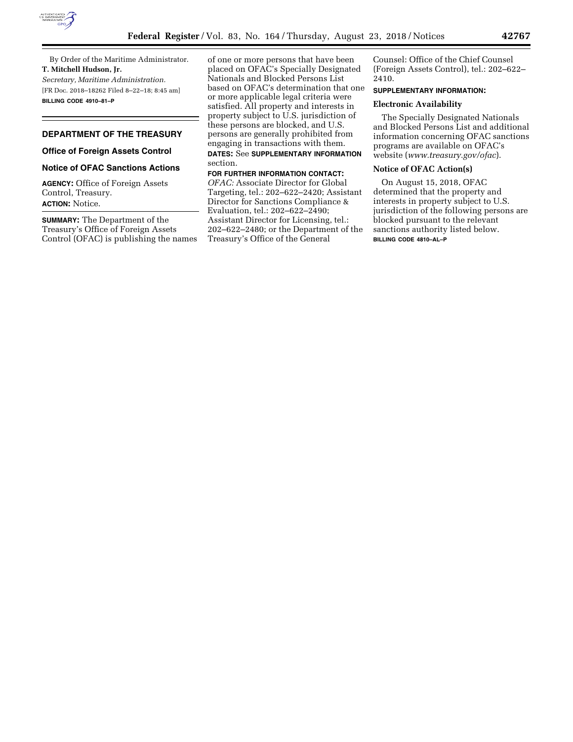

By Order of the Maritime Administrator. **T. Mitchell Hudson, Jr.**  *Secretary, Maritime Administration.*  [FR Doc. 2018–18262 Filed 8–22–18; 8:45 am] **BILLING CODE 4910–81–P** 

## **DEPARTMENT OF THE TREASURY**

# **Office of Foreign Assets Control**

## **Notice of OFAC Sanctions Actions**

**AGENCY:** Office of Foreign Assets Control, Treasury. **ACTION:** Notice.

**SUMMARY:** The Department of the Treasury's Office of Foreign Assets Control (OFAC) is publishing the names of one or more persons that have been placed on OFAC's Specially Designated Nationals and Blocked Persons List based on OFAC's determination that one or more applicable legal criteria were satisfied. All property and interests in property subject to U.S. jurisdiction of these persons are blocked, and U.S. persons are generally prohibited from engaging in transactions with them.

### **DATES:** See **SUPPLEMENTARY INFORMATION** section.

## **FOR FURTHER INFORMATION CONTACT:**

*OFAC:* Associate Director for Global Targeting, tel.: 202–622–2420; Assistant Director for Sanctions Compliance & Evaluation, tel.: 202–622–2490; Assistant Director for Licensing, tel.: 202–622–2480; or the Department of the Treasury's Office of the General

Counsel: Office of the Chief Counsel (Foreign Assets Control), tel.: 202–622– 2410.

## **SUPPLEMENTARY INFORMATION:**

## **Electronic Availability**

The Specially Designated Nationals and Blocked Persons List and additional information concerning OFAC sanctions programs are available on OFAC's website (*[www.treasury.gov/ofac](http://www.treasury.gov/ofac)*).

### **Notice of OFAC Action(s)**

On August 15, 2018, OFAC determined that the property and interests in property subject to U.S. jurisdiction of the following persons are blocked pursuant to the relevant sanctions authority listed below. **BILLING CODE 4810–AL–P**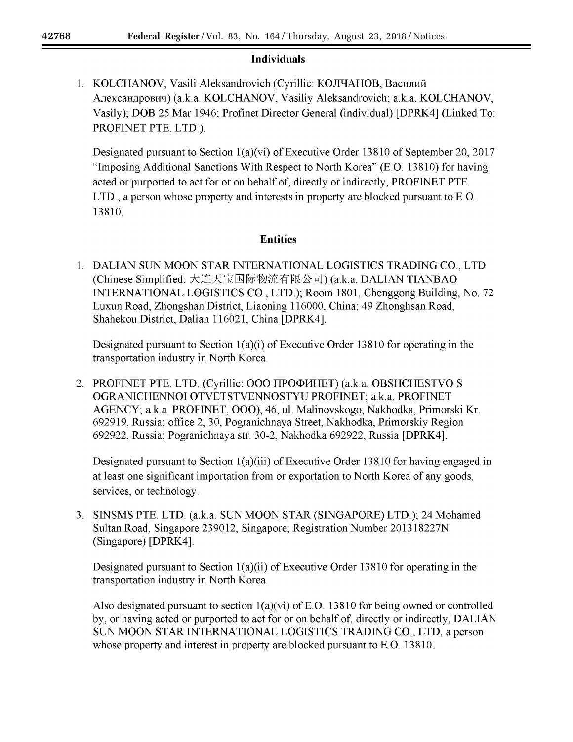# **Individuals**

1. KOLCHANOV, Vasili Aleksandrovich (Cyrillic: КОЛЧАНОВ, Василий Александрович) (a.k.a. KOLCHANOV, Vasiliy Aleksandrovich; a.k.a. KOLCHANOV, Vasily); DOB 25 Mar 1946; Profinet Director General (individual) [DPRK4] (Linked To: PROFINET PTE. LTD.).

Designated pursuant to Section 1(a)(vi) of Executive Order 13810 of September 20, 2017 "Imposing Additional Sanctions With Respect to North Korea" (E.O. 13810) for having acted or purported to act for or on behalf of, directly or indirectly, PROFINET PTE. LTD., a person whose property and interests in property are blocked pursuant to E.O. 13810.

# **Entities**

1. DALIAN SUN MOON STAR INTERNATIONAL LOGISTICS TRADING CO., LTD (Chinese Simplified: 大连天宝国际物流有限公司) (a.k.a. DALIAN TIANBAO INTERNATIONAL LOGISTICS CO., LTD.); Room 1801, Chenggong Building, No. 72 Luxun Road, Zhongshan District, Liaoning 116000, China; 49 Zhonghsan Road, Shahekou District, Dalian 116021, China [DPRK4].

Designated pursuant to Section  $1(a)(i)$  of Executive Order 13810 for operating in the transportation industry in North Korea.

2. PROFINET PTE. LTD. (Cyrillic: OOO IIPOФИНЕТ) (a.k.a. OBSHCHESTVO S OGRANICHENNOI OTVETSTVENNOSTYU PROFINET; a.k.a. PROFINET AGENCY; a.k.a. PROFINET, 000), 46, ul. Malinovskogo, Nakhodka, Primorski Kr. 692919, Russia; office 2, 30, Pogranichnaya Street, Nakhodka, Primorskiy Region 692922, Russia; Pogranichnaya str. 30-2, Nakhodka 692922, Russia [DPRK4].

Designated pursuant to Section  $1(a)(iii)$  of Executive Order 13810 for having engaged in at least one significant importation from or exportation to North Korea of any goods, services, or technology.

3. SINSMS PTE. LTD. (a.k.a. SUN MOON STAR (SINGAPORE) LTD.); 24 Mohamed Sultan Road, Singapore 239012, Singapore; Registration Number 201318227N (Singapore) [DPRK4].

Designated pursuant to Section  $1(a)(ii)$  of Executive Order 13810 for operating in the transportation industry in North Korea.

Also designated pursuant to section  $1(a)(vi)$  of E.O. 13810 for being owned or controlled by, or having acted or purported to act for or on behalf of, directly or indirectly, DALIAN SUN MOON STAR INTERNATIONAL LOGISTICS TRADING CO., LTD, a person whose property and interest in property are blocked pursuant to E.O. 13810.